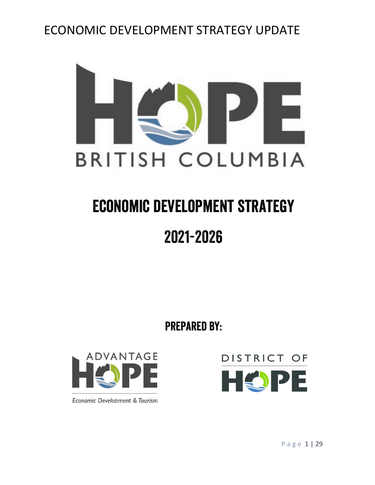

# Economic development strategy

## 2021-2026

Prepared by:



Economic Development & Tourism

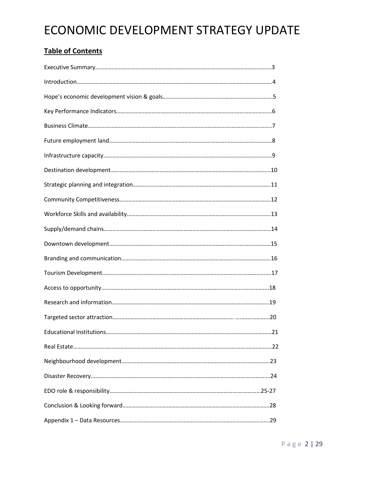## **Table of Contents**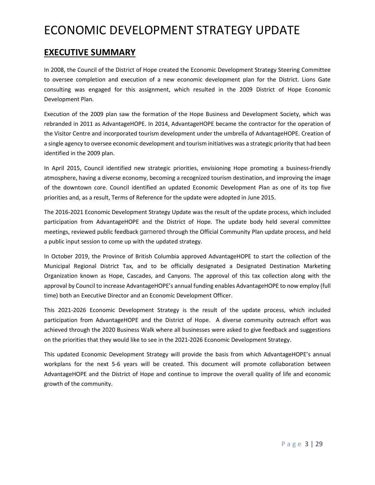### **EXECUTIVE SUMMARY**

In 2008, the Council of the District of Hope created the Economic Development Strategy Steering Committee to oversee completion and execution of a new economic development plan for the District. Lions Gate consulting was engaged for this assignment, which resulted in the 2009 District of Hope Economic Development Plan.

Execution of the 2009 plan saw the formation of the Hope Business and Development Society, which was rebranded in 2011 as AdvantageHOPE. In 2014, AdvantageHOPE became the contractor for the operation of the Visitor Centre and incorporated tourism development under the umbrella of AdvantageHOPE. Creation of a single agency to oversee economic development and tourism initiatives was a strategic priority that had been identified in the 2009 plan.

In April 2015, Council identified new strategic priorities, envisioning Hope promoting a business-friendly atmosphere, having a diverse economy, becoming a recognized tourism destination, and improving the image of the downtown core. Council identified an updated Economic Development Plan as one of its top five priorities and, as a result, Terms of Reference for the update were adopted in June 2015.

The 2016-2021 Economic Development Strategy Update was the result of the update process, which included participation from AdvantageHOPE and the District of Hope. The update body held several committee meetings, reviewed public feedback garnered through the Official Community Plan update process, and held a public input session to come up with the updated strategy.

In October 2019, the Province of British Columbia approved AdvantageHOPE to start the collection of the Municipal Regional District Tax, and to be officially designated a Designated Destination Marketing Organization known as Hope, Cascades, and Canyons. The approval of this tax collection along with the approval by Council to increase AdvantageHOPE's annual funding enables AdvantageHOPE to now employ (full time) both an Executive Director and an Economic Development Officer.

This 2021-2026 Economic Development Strategy is the result of the update process, which included participation from AdvantageHOPE and the District of Hope. A diverse community outreach effort was achieved through the 2020 Business Walk where all businesses were asked to give feedback and suggestions on the priorities that they would like to see in the 2021-2026 Economic Development Strategy.

This updated Economic Development Strategy will provide the basis from which AdvantageHOPE's annual workplans for the next 5-6 years will be created. This document will promote collaboration between AdvantageHOPE and the District of Hope and continue to improve the overall quality of life and economic growth of the community.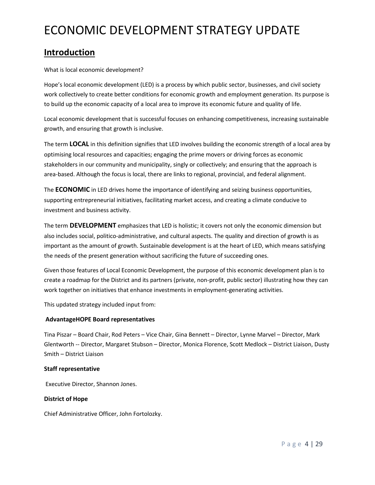## **Introduction**

What is local economic development?

Hope's local economic development (LED) is a process by which public sector, businesses, and civil society work collectively to create better conditions for economic growth and employment generation. Its purpose is to build up the economic capacity of a local area to improve its economic future and quality of life.

Local economic development that is successful focuses on enhancing competitiveness, increasing sustainable growth, and ensuring that growth is inclusive.

The term **LOCAL** in this definition signifies that LED involves building the economic strength of a local area by optimising local resources and capacities; engaging the prime movers or driving forces as economic stakeholders in our community and municipality, singly or collectively; and ensuring that the approach is area-based. Although the focus is local, there are links to regional, provincial, and federal alignment.

The **ECONOMIC** in LED drives home the importance of identifying and seizing business opportunities, supporting entrepreneurial initiatives, facilitating market access, and creating a climate conducive to investment and business activity.

The term **DEVELOPMENT** emphasizes that LED is holistic; it covers not only the economic dimension but also includes social, politico-administrative, and cultural aspects. The quality and direction of growth is as important as the amount of growth. Sustainable development is at the heart of LED, which means satisfying the needs of the present generation without sacrificing the future of succeeding ones.

Given those features of Local Economic Development, the purpose of this economic development plan is to create a roadmap for the District and its partners (private, non-profit, public sector) illustrating how they can work together on initiatives that enhance investments in employment-generating activities.

This updated strategy included input from:

### **AdvantageHOPE Board representatives**

Tina Piszar – Board Chair, Rod Peters – Vice Chair, Gina Bennett – Director, Lynne Marvel – Director, Mark Glentworth -- Director, Margaret Stubson – Director, Monica Florence, Scott Medlock – District Liaison, Dusty Smith – District Liaison

### **Staff representative**

Executive Director, Shannon Jones.

### **District of Hope**

Chief Administrative Officer, John Fortolozky.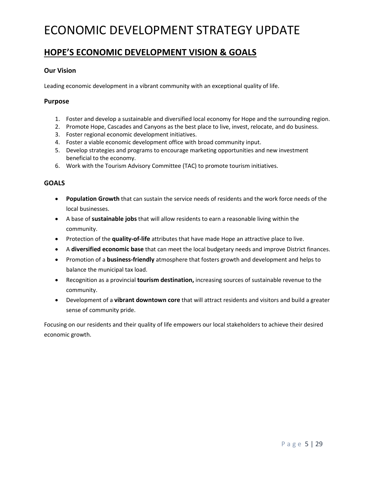### **HOPE'S ECONOMIC DEVELOPMENT VISION & GOALS**

### **Our Vision**

Leading economic development in a vibrant community with an exceptional quality of life.

### **Purpose**

- 1. Foster and develop a sustainable and diversified local economy for Hope and the surrounding region.
- 2. Promote Hope, Cascades and Canyons as the best place to live, invest, relocate, and do business.
- 3. Foster regional economic development initiatives.
- 4. Foster a viable economic development office with broad community input.
- 5. Develop strategies and programs to encourage marketing opportunities and new investment beneficial to the economy.
- 6. Work with the Tourism Advisory Committee (TAC) to promote tourism initiatives.

### **GOALS**

- **Population Growth** that can sustain the service needs of residents and the work force needs of the local businesses.
- A base of **sustainable jobs** that will allow residents to earn a reasonable living within the community.
- Protection of the **quality-of-life** attributes that have made Hope an attractive place to live.
- A **diversified economic base** that can meet the local budgetary needs and improve District finances.
- Promotion of a **business-friendly** atmosphere that fosters growth and development and helps to balance the municipal tax load.
- Recognition as a provincial **tourism destination,** increasing sources of sustainable revenue to the community.
- Development of a **vibrant downtown core** that will attract residents and visitors and build a greater sense of community pride.

Focusing on our residents and their quality of life empowers our local stakeholders to achieve their desired economic growth.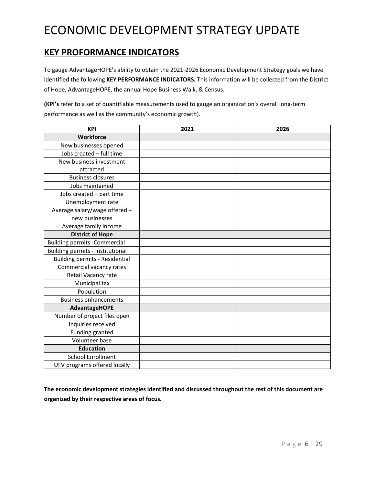## **KEY PROFORMANCE INDICATORS**

To gauge AdvantageHOPE's ability to obtain the 2021-2026 Economic Development Strategy goals we have identified the following **KEY PERFORMANCE INDICATORS.** This information will be collected from the District of Hope, AdvantageHOPE, the annual Hope Business Walk, & Census.

**(KPI's** refer to a set of quantifiable measurements used to gauge an organization's overall long-term performance as well as the community's economic growth).

| <b>KPI</b>                            | 2021 | 2026 |
|---------------------------------------|------|------|
| <b>Workforce</b>                      |      |      |
| New businesses opened                 |      |      |
| Jobs created - full time              |      |      |
| New business investment               |      |      |
| attracted                             |      |      |
| <b>Business closures</b>              |      |      |
| Jobs maintained                       |      |      |
| Jobs created - part time              |      |      |
| Unemployment rate                     |      |      |
| Average salary/wage offered -         |      |      |
| new businesses                        |      |      |
| Average family income                 |      |      |
| <b>District of Hope</b>               |      |      |
| <b>Building permits -Commercial</b>   |      |      |
| Building permits - Institutional      |      |      |
| <b>Building permits - Residential</b> |      |      |
| Commercial vacancy rates              |      |      |
| Retail Vacancy rate                   |      |      |
| Municipal tax                         |      |      |
| Population                            |      |      |
| <b>Business enhancements</b>          |      |      |
| <b>AdvantageHOPE</b>                  |      |      |
| Number of project files open          |      |      |
| Inquiries received                    |      |      |
| Funding granted                       |      |      |
| Volunteer base                        |      |      |
| <b>Education</b>                      |      |      |
| <b>School Enrollment</b>              |      |      |
| UFV programs offered locally          |      |      |

**The economic development strategies identified and discussed throughout the rest of this document are organized by their respective areas of focus.**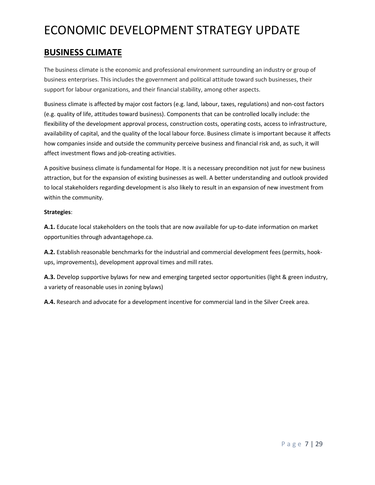## **BUSINESS CLIMATE**

The business climate is the economic and professional environment surrounding an industry or group of business enterprises. This includes the government and political attitude toward such businesses, their support for labour organizations, and their financial stability, among other aspects.

Business climate is affected by major cost factors (e.g. land, labour, taxes, regulations) and non-cost factors (e.g. quality of life, attitudes toward business). Components that can be controlled locally include: the flexibility of the development approval process, construction costs, operating costs, access to infrastructure, availability of capital, and the quality of the local labour force. Business climate is important because it affects how companies inside and outside the community perceive business and financial risk and, as such, it will affect investment flows and job-creating activities.

A positive business climate is fundamental for Hope. It is a necessary precondition not just for new business attraction, but for the expansion of existing businesses as well. A better understanding and outlook provided to local stakeholders regarding development is also likely to result in an expansion of new investment from within the community.

### **Strategies**:

**A.1.** Educate local stakeholders on the tools that are now available for up-to-date information on market opportunities through advantagehope.ca.

**A.2.** Establish reasonable benchmarks for the industrial and commercial development fees (permits, hookups, improvements), development approval times and mill rates.

**A.3.** Develop supportive bylaws for new and emerging targeted sector opportunities (light & green industry, a variety of reasonable uses in zoning bylaws)

**A.4.** Research and advocate for a development incentive for commercial land in the Silver Creek area.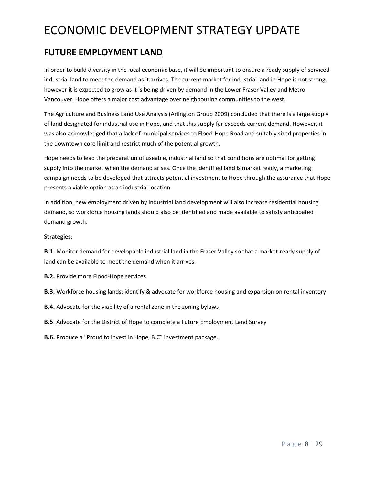### **FUTURE EMPLOYMENT LAND**

In order to build diversity in the local economic base, it will be important to ensure a ready supply of serviced industrial land to meet the demand as it arrives. The current market for industrial land in Hope is not strong, however it is expected to grow as it is being driven by demand in the Lower Fraser Valley and Metro Vancouver. Hope offers a major cost advantage over neighbouring communities to the west.

The Agriculture and Business Land Use Analysis (Arlington Group 2009) concluded that there is a large supply of land designated for industrial use in Hope, and that this supply far exceeds current demand. However, it was also acknowledged that a lack of municipal services to Flood-Hope Road and suitably sized properties in the downtown core limit and restrict much of the potential growth.

Hope needs to lead the preparation of useable, industrial land so that conditions are optimal for getting supply into the market when the demand arises. Once the identified land is market ready, a marketing campaign needs to be developed that attracts potential investment to Hope through the assurance that Hope presents a viable option as an industrial location.

In addition, new employment driven by industrial land development will also increase residential housing demand, so workforce housing lands should also be identified and made available to satisfy anticipated demand growth.

### **Strategies**:

**B.1.** Monitor demand for developable industrial land in the Fraser Valley so that a market-ready supply of land can be available to meet the demand when it arrives.

**B.2.** Provide more Flood-Hope services

**B.3.** Workforce housing lands: identify & advocate for workforce housing and expansion on rental inventory

**B.4.** Advocate for the viability of a rental zone in the zoning bylaws

**B.5**. Advocate for the District of Hope to complete a Future Employment Land Survey

**B.6.** Produce a "Proud to Invest in Hope, B.C" investment package.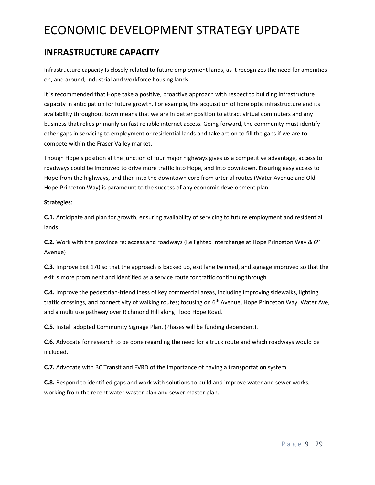## **INFRASTRUCTURE CAPACITY**

Infrastructure capacity Is closely related to future employment lands, as it recognizes the need for amenities on, and around, industrial and workforce housing lands.

It is recommended that Hope take a positive, proactive approach with respect to building infrastructure capacity in anticipation for future growth. For example, the acquisition of fibre optic infrastructure and its availability throughout town means that we are in better position to attract virtual commuters and any business that relies primarily on fast reliable internet access. Going forward, the community must identify other gaps in servicing to employment or residential lands and take action to fill the gaps if we are to compete within the Fraser Valley market.

Though Hope's position at the junction of four major highways gives us a competitive advantage, access to roadways could be improved to drive more traffic into Hope, and into downtown. Ensuring easy access to Hope from the highways, and then into the downtown core from arterial routes (Water Avenue and Old Hope-Princeton Way) is paramount to the success of any economic development plan.

### **Strategies**:

**C.1.** Anticipate and plan for growth, ensuring availability of servicing to future employment and residential lands.

**C.2.** Work with the province re: access and roadways (i.e lighted interchange at Hope Princeton Way & 6<sup>th</sup> Avenue)

**C.3.** Improve Exit 170 so that the approach is backed up, exit lane twinned, and signage improved so that the exit is more prominent and identified as a service route for traffic continuing through

**C.4.** Improve the pedestrian-friendliness of key commercial areas, including improving sidewalks, lighting, traffic crossings, and connectivity of walking routes; focusing on 6<sup>th</sup> Avenue, Hope Princeton Way, Water Ave, and a multi use pathway over Richmond Hill along Flood Hope Road.

**C.5.** Install adopted Community Signage Plan. (Phases will be funding dependent).

**C.6.** Advocate for research to be done regarding the need for a truck route and which roadways would be included.

**C.7.** Advocate with BC Transit and FVRD of the importance of having a transportation system.

**C.8.** Respond to identified gaps and work with solutions to build and improve water and sewer works, working from the recent water waster plan and sewer master plan.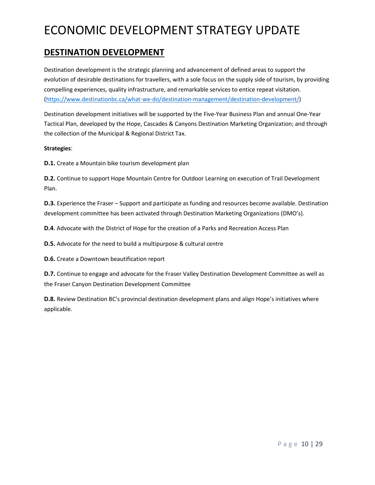## **DESTINATION DEVELOPMENT**

Destination development is the strategic planning and advancement of defined areas to support the evolution of desirable destinations for travellers, with a sole focus on the supply side of tourism, by providing compelling experiences, quality infrastructure, and remarkable services to entice repeat visitation. [\(https://www.destinationbc.ca/what-we-do/destination-management/destination-development/\)](https://www.destinationbc.ca/what-we-do/destination-management/destination-development/)

Destination development initiatives will be supported by the Five-Year Business Plan and annual One-Year Tactical Plan, developed by the Hope, Cascades & Canyons Destination Marketing Organization; and through the collection of the Municipal & Regional District Tax.

### **Strategies**:

**D.1.** Create a Mountain bike tourism development plan

**D.2.** Continue to support Hope Mountain Centre for Outdoor Learning on execution of Trail Development Plan.

**D.3.** Experience the Fraser – Support and participate as funding and resources become available. Destination development committee has been activated through Destination Marketing Organizations (DMO's).

**D.4**. Advocate with the District of Hope for the creation of a Parks and Recreation Access Plan

**D.5.** Advocate for the need to build a multipurpose & cultural centre

**D.6.** Create a Downtown beautification report

**D.7.** Continue to engage and advocate for the Fraser Valley Destination Development Committee as well as the Fraser Canyon Destination Development Committee

**D.8.** Review Destination BC's provincial destination development plans and align Hope's initiatives where applicable.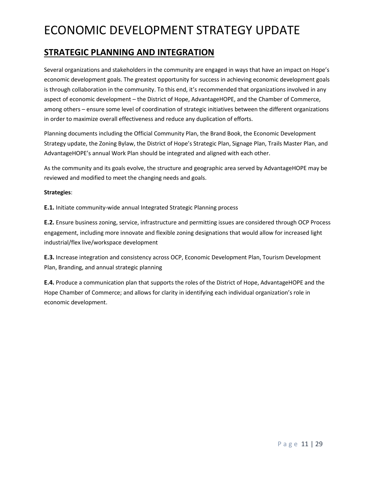### **STRATEGIC PLANNING AND INTEGRATION**

Several organizations and stakeholders in the community are engaged in ways that have an impact on Hope's economic development goals. The greatest opportunity for success in achieving economic development goals is through collaboration in the community. To this end, it's recommended that organizations involved in any aspect of economic development – the District of Hope, AdvantageHOPE, and the Chamber of Commerce, among others – ensure some level of coordination of strategic initiatives between the different organizations in order to maximize overall effectiveness and reduce any duplication of efforts.

Planning documents including the Official Community Plan, the Brand Book, the Economic Development Strategy update, the Zoning Bylaw, the District of Hope's Strategic Plan, Signage Plan, Trails Master Plan, and AdvantageHOPE's annual Work Plan should be integrated and aligned with each other.

As the community and its goals evolve, the structure and geographic area served by AdvantageHOPE may be reviewed and modified to meet the changing needs and goals.

#### **Strategies**:

**E.1.** Initiate community-wide annual Integrated Strategic Planning process

**E.2.** Ensure business zoning, service, infrastructure and permitting issues are considered through OCP Process engagement, including more innovate and flexible zoning designations that would allow for increased light industrial/flex live/workspace development

**E.3.** Increase integration and consistency across OCP, Economic Development Plan, Tourism Development Plan, Branding, and annual strategic planning

**E.4.** Produce a communication plan that supports the roles of the District of Hope, AdvantageHOPE and the Hope Chamber of Commerce; and allows for clarity in identifying each individual organization's role in economic development.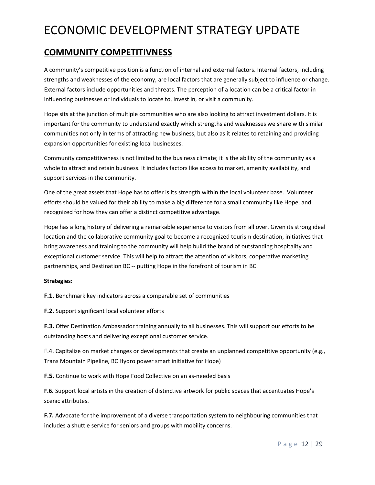## **COMMUNITY COMPETITIVNESS**

A community's competitive position is a function of internal and external factors. Internal factors, including strengths and weaknesses of the economy, are local factors that are generally subject to influence or change. External factors include opportunities and threats. The perception of a location can be a critical factor in influencing businesses or individuals to locate to, invest in, or visit a community.

Hope sits at the junction of multiple communities who are also looking to attract investment dollars. It is important for the community to understand exactly which strengths and weaknesses we share with similar communities not only in terms of attracting new business, but also as it relates to retaining and providing expansion opportunities for existing local businesses.

Community competitiveness is not limited to the business climate; it is the ability of the community as a whole to attract and retain business. It includes factors like access to market, amenity availability, and support services in the community.

One of the great assets that Hope has to offer is its strength within the local volunteer base. Volunteer efforts should be valued for their ability to make a big difference for a small community like Hope, and recognized for how they can offer a distinct competitive advantage.

Hope has a long history of delivering a remarkable experience to visitors from all over. Given its strong ideal location and the collaborative community goal to become a recognized tourism destination, initiatives that bring awareness and training to the community will help build the brand of outstanding hospitality and exceptional customer service. This will help to attract the attention of visitors, cooperative marketing partnerships, and Destination BC -- putting Hope in the forefront of tourism in BC.

### **Strategies**:

**F.1.** Benchmark key indicators across a comparable set of communities

**F.2.** Support significant local volunteer efforts

**F.3.** Offer Destination Ambassador training annually to all businesses. This will support our efforts to be outstanding hosts and delivering exceptional customer service.

F.4. Capitalize on market changes or developments that create an unplanned competitive opportunity (e.g., Trans Mountain Pipeline, BC Hydro power smart initiative for Hope)

**F.5.** Continue to work with Hope Food Collective on an as-needed basis

**F.6.** Support local artists in the creation of distinctive artwork for public spaces that accentuates Hope's scenic attributes.

**F.7.** Advocate for the improvement of a diverse transportation system to neighbouring communities that includes a shuttle service for seniors and groups with mobility concerns.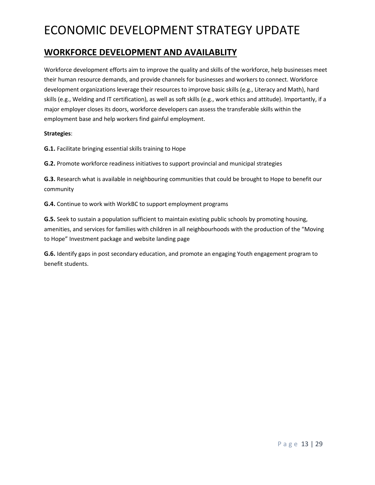## **WORKFORCE DEVELOPMENT AND AVAILABLITY**

Workforce development efforts aim to improve the quality and skills of the workforce, help businesses meet their human resource demands, and provide channels for businesses and workers to connect. Workforce development organizations leverage their resources to improve basic skills (e.g., Literacy and Math), hard skills (e.g., Welding and IT certification), as well as soft skills (e.g., work ethics and attitude). Importantly, if a major employer closes its doors, workforce developers can assess the transferable skills within the employment base and help workers find gainful employment.

#### **Strategies**:

**G.1.** Facilitate bringing essential skills training to Hope

**G.2.** Promote workforce readiness initiatives to support provincial and municipal strategies

**G.3.** Research what is available in neighbouring communities that could be brought to Hope to benefit our community

**G.4.** Continue to work with WorkBC to support employment programs

**G.5.** Seek to sustain a population sufficient to maintain existing public schools by promoting housing, amenities, and services for families with children in all neighbourhoods with the production of the "Moving to Hope" Investment package and website landing page

**G.6.** Identify gaps in post secondary education, and promote an engaging Youth engagement program to benefit students.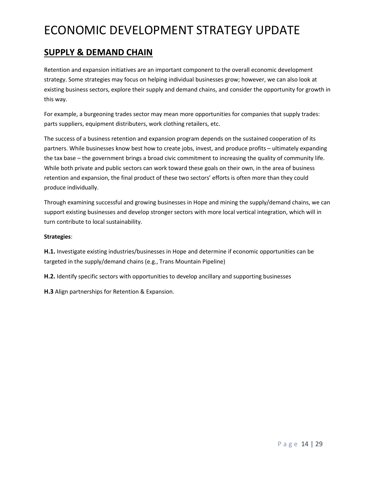### **SUPPLY & DEMAND CHAIN**

Retention and expansion initiatives are an important component to the overall economic development strategy. Some strategies may focus on helping individual businesses grow; however, we can also look at existing business sectors, explore their supply and demand chains, and consider the opportunity for growth in this way.

For example, a burgeoning trades sector may mean more opportunities for companies that supply trades: parts suppliers, equipment distributers, work clothing retailers, etc.

The success of a business retention and expansion program depends on the sustained cooperation of its partners. While businesses know best how to create jobs, invest, and produce profits – ultimately expanding the tax base – the government brings a broad civic commitment to increasing the quality of community life. While both private and public sectors can work toward these goals on their own, in the area of business retention and expansion, the final product of these two sectors' efforts is often more than they could produce individually.

Through examining successful and growing businesses in Hope and mining the supply/demand chains, we can support existing businesses and develop stronger sectors with more local vertical integration, which will in turn contribute to local sustainability.

### **Strategies**:

**H.1.** Investigate existing industries/businesses in Hope and determine if economic opportunities can be targeted in the supply/demand chains (e.g., Trans Mountain Pipeline)

**H.2.** Identify specific sectors with opportunities to develop ancillary and supporting businesses

**H.3** Align partnerships for Retention & Expansion.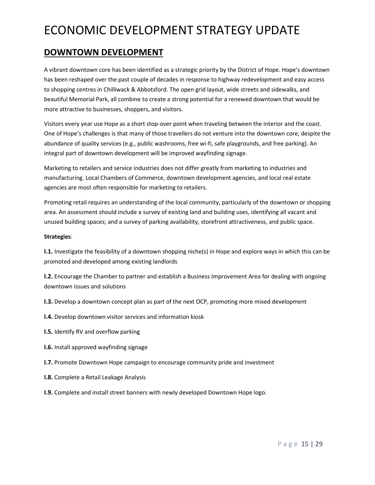### **DOWNTOWN DEVELOPMENT**

A vibrant downtown core has been identified as a strategic priority by the District of Hope. Hope's downtown has been reshaped over the past couple of decades in response to highway redevelopment and easy access to shopping centres in Chilliwack & Abbotsford. The open grid layout, wide streets and sidewalks, and beautiful Memorial Park, all combine to create a strong potential for a renewed downtown that would be more attractive to businesses, shoppers, and visitors.

Visitors every year use Hope as a short stop-over point when traveling between the interior and the coast. One of Hope's challenges is that many of those travellers do not venture into the downtown core, despite the abundance of quality services (e.g., public washrooms, free wi-fi, safe playgrounds, and free parking). An integral part of downtown development will be improved wayfinding signage.

Marketing to retailers and service industries does not differ greatly from marketing to industries and manufacturing. Local Chambers of Commerce, downtown development agencies, and local real estate agencies are most often responsible for marketing to retailers.

Promoting retail requires an understanding of the local community, particularly of the downtown or shopping area. An assessment should include a survey of existing land and building uses, identifying all vacant and unused building spaces; and a survey of parking availability, storefront attractiveness, and public space.

#### **Strategies**:

**I.1.** Investigate the feasibility of a downtown shopping niche(s) in Hope and explore ways in which this can be promoted and developed among existing landlords

**I.2.** Encourage the Chamber to partner and establish a Business Improvement Area for dealing with ongoing downtown issues and solutions

- **I.3.** Develop a downtown concept plan as part of the next OCP, promoting more mixed development
- **I.4.** Develop downtown visitor services and information kiosk
- **I.5.** Identify RV and overflow parking
- **I.6.** Install approved wayfinding signage
- **I.7.** Promote Downtown Hope campaign to encourage community pride and investment
- **I.8.** Complete a Retail Leakage Analysis
- **I.9.** Complete and install street banners with newly developed Downtown Hope logo.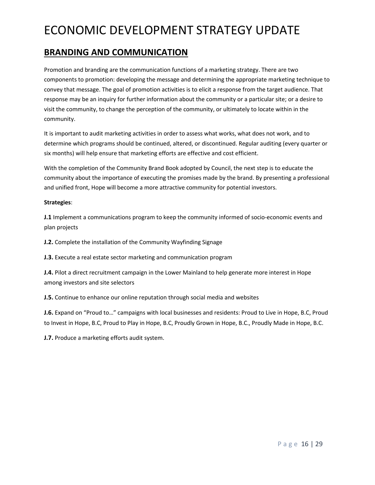### **BRANDING AND COMMUNICATION**

Promotion and branding are the communication functions of a marketing strategy. There are two components to promotion: developing the message and determining the appropriate marketing technique to convey that message. The goal of promotion activities is to elicit a response from the target audience. That response may be an inquiry for further information about the community or a particular site; or a desire to visit the community, to change the perception of the community, or ultimately to locate within in the community.

It is important to audit marketing activities in order to assess what works, what does not work, and to determine which programs should be continued, altered, or discontinued. Regular auditing (every quarter or six months) will help ensure that marketing efforts are effective and cost efficient.

With the completion of the Community Brand Book adopted by Council, the next step is to educate the community about the importance of executing the promises made by the brand. By presenting a professional and unified front, Hope will become a more attractive community for potential investors.

#### **Strategies**:

**J.1** Implement a communications program to keep the community informed of socio-economic events and plan projects

**J.2.** Complete the installation of the Community Wayfinding Signage

**J.3.** Execute a real estate sector marketing and communication program

**J.4.** Pilot a direct recruitment campaign in the Lower Mainland to help generate more interest in Hope among investors and site selectors

**J.5.** Continue to enhance our online reputation through social media and websites

**J.6.** Expand on "Proud to…" campaigns with local businesses and residents: Proud to Live in Hope, B.C, Proud to Invest in Hope, B.C, Proud to Play in Hope, B.C, Proudly Grown in Hope, B.C., Proudly Made in Hope, B.C.

**J.7.** Produce a marketing efforts audit system.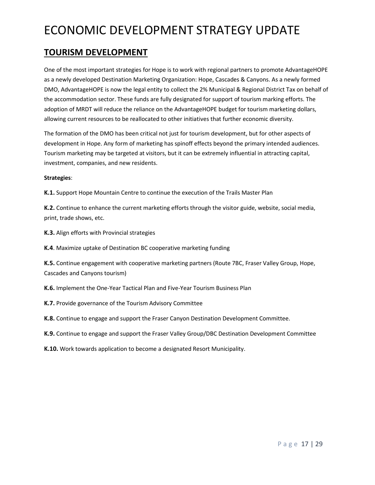## **TOURISM DEVELOPMENT**

One of the most important strategies for Hope is to work with regional partners to promote AdvantageHOPE as a newly developed Destination Marketing Organization: Hope, Cascades & Canyons. As a newly formed DMO, AdvantageHOPE is now the legal entity to collect the 2% Municipal & Regional District Tax on behalf of the accommodation sector. These funds are fully designated for support of tourism marking efforts. The adoption of MRDT will reduce the reliance on the AdvantageHOPE budget for tourism marketing dollars, allowing current resources to be reallocated to other initiatives that further economic diversity.

The formation of the DMO has been critical not just for tourism development, but for other aspects of development in Hope. Any form of marketing has spinoff effects beyond the primary intended audiences. Tourism marketing may be targeted at visitors, but it can be extremely influential in attracting capital, investment, companies, and new residents.

### **Strategies**:

**K.1.** Support Hope Mountain Centre to continue the execution of the Trails Master Plan

**K.2.** Continue to enhance the current marketing efforts through the visitor guide, website, social media, print, trade shows, etc.

**K.3.** Align efforts with Provincial strategies

**K.4**. Maximize uptake of Destination BC cooperative marketing funding

**K.5.** Continue engagement with cooperative marketing partners (Route 7BC, Fraser Valley Group, Hope, Cascades and Canyons tourism)

**K.6.** Implement the One-Year Tactical Plan and Five-Year Tourism Business Plan

**K.7.** Provide governance of the Tourism Advisory Committee

**K.8.** Continue to engage and support the Fraser Canyon Destination Development Committee.

**K.9.** Continue to engage and support the Fraser Valley Group/DBC Destination Development Committee

**K.10.** Work towards application to become a designated Resort Municipality.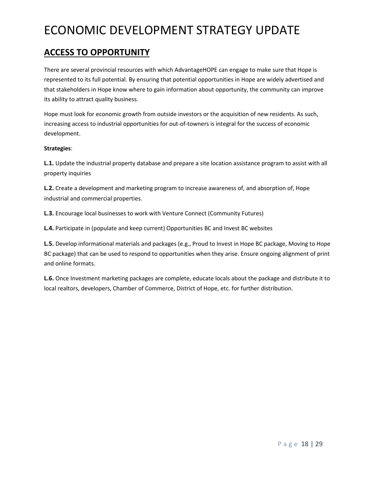## **ACCESS TO OPPORTUNITY**

There are several provincial resources with which AdvantageHOPE can engage to make sure that Hope is represented to its full potential. By ensuring that potential opportunities in Hope are widely advertised and that stakeholders in Hope know where to gain information about opportunity, the community can improve its ability to attract quality business.

Hope must look for economic growth from outside investors or the acquisition of new residents. As such, increasing access to industrial opportunities for out-of-towners is integral for the success of economic development.

### **Strategies**:

**L.1.** Update the industrial property database and prepare a site location assistance program to assist with all property inquiries

**L.2.** Create a development and marketing program to increase awareness of, and absorption of, Hope industrial and commercial properties.

**L.3.** Encourage local businesses to work with Venture Connect (Community Futures)

**L.4.** Participate in (populate and keep current) Opportunities BC and Invest BC websites

**L.5.** Develop informational materials and packages (e.g., Proud to Invest in Hope BC package, Moving to Hope BC package) that can be used to respond to opportunities when they arise. Ensure ongoing alignment of print and online formats.

**L.6.** Once Investment marketing packages are complete, educate locals about the package and distribute it to local realtors, developers, Chamber of Commerce, District of Hope, etc. for further distribution.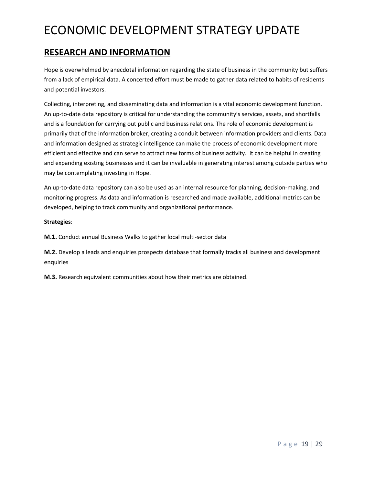## **RESEARCH AND INFORMATION**

Hope is overwhelmed by anecdotal information regarding the state of business in the community but suffers from a lack of empirical data. A concerted effort must be made to gather data related to habits of residents and potential investors.

Collecting, interpreting, and disseminating data and information is a vital economic development function. An up-to-date data repository is critical for understanding the community's services, assets, and shortfalls and is a foundation for carrying out public and business relations. The role of economic development is primarily that of the information broker, creating a conduit between information providers and clients. Data and information designed as strategic intelligence can make the process of economic development more efficient and effective and can serve to attract new forms of business activity. It can be helpful in creating and expanding existing businesses and it can be invaluable in generating interest among outside parties who may be contemplating investing in Hope.

An up-to-date data repository can also be used as an internal resource for planning, decision-making, and monitoring progress. As data and information is researched and made available, additional metrics can be developed, helping to track community and organizational performance.

### **Strategies**:

**M.1.** Conduct annual Business Walks to gather local multi-sector data

**M.2.** Develop a leads and enquiries prospects database that formally tracks all business and development enquiries

**M.3.** Research equivalent communities about how their metrics are obtained.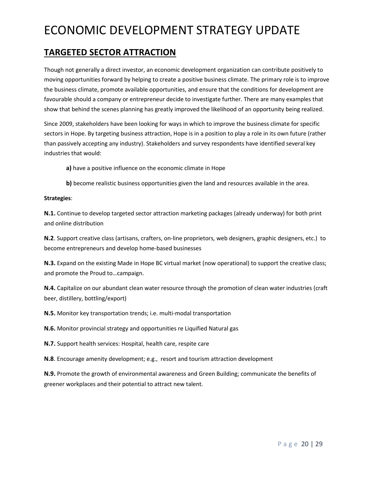## **TARGETED SECTOR ATTRACTION**

Though not generally a direct investor, an economic development organization can contribute positively to moving opportunities forward by helping to create a positive business climate. The primary role is to improve the business climate, promote available opportunities, and ensure that the conditions for development are favourable should a company or entrepreneur decide to investigate further. There are many examples that show that behind the scenes planning has greatly improved the likelihood of an opportunity being realized.

Since 2009, stakeholders have been looking for ways in which to improve the business climate for specific sectors in Hope. By targeting business attraction, Hope is in a position to play a role in its own future (rather than passively accepting any industry). Stakeholders and survey respondents have identified several key industries that would:

**a)** have a positive influence on the economic climate in Hope

**b**) become realistic business opportunities given the land and resources available in the area.

#### **Strategies**:

**N.1.** Continue to develop targeted sector attraction marketing packages (already underway) for both print and online distribution

**N.2**. Support creative class (artisans, crafters, on-line proprietors, web designers, graphic designers, etc.) to become entrepreneurs and develop home-based businesses

**N.3.** Expand on the existing Made in Hope BC virtual market (now operational) to support the creative class; and promote the Proud to…campaign.

**N.4.** Capitalize on our abundant clean water resource through the promotion of clean water industries (craft beer, distillery, bottling/export)

**N.5.** Monitor key transportation trends; i.e. multi-modal transportation

**N.6.** Monitor provincial strategy and opportunities re Liquified Natural gas

**N.7.** Support health services: Hospital, health care, respite care

**N.8**. Encourage amenity development; e.g., resort and tourism attraction development

**N.9.** Promote the growth of environmental awareness and Green Building; communicate the benefits of greener workplaces and their potential to attract new talent.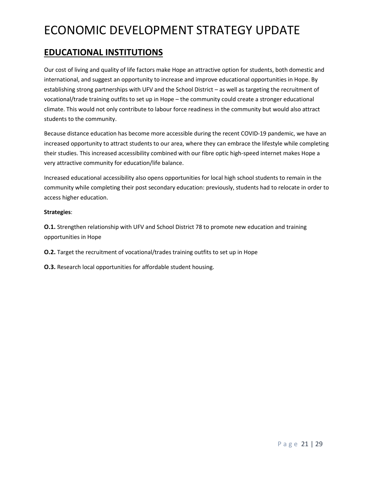## **EDUCATIONAL INSTITUTIONS**

Our cost of living and quality of life factors make Hope an attractive option for students, both domestic and international, and suggest an opportunity to increase and improve educational opportunities in Hope. By establishing strong partnerships with UFV and the School District – as well as targeting the recruitment of vocational/trade training outfits to set up in Hope – the community could create a stronger educational climate. This would not only contribute to labour force readiness in the community but would also attract students to the community.

Because distance education has become more accessible during the recent COVID-19 pandemic, we have an increased opportunity to attract students to our area, where they can embrace the lifestyle while completing their studies. This increased accessibility combined with our fibre optic high-speed internet makes Hope a very attractive community for education/life balance.

Increased educational accessibility also opens opportunities for local high school students to remain in the community while completing their post secondary education: previously, students had to relocate in order to access higher education.

### **Strategies**:

**O.1.** Strengthen relationship with UFV and School District 78 to promote new education and training opportunities in Hope

**O.2.** Target the recruitment of vocational/trades training outfits to set up in Hope

**O.3.** Research local opportunities for affordable student housing.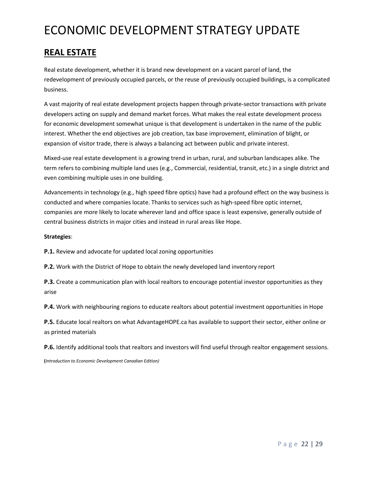## **REAL ESTATE**

Real estate development, whether it is brand new development on a vacant parcel of land, the redevelopment of previously occupied parcels, or the reuse of previously occupied buildings, is a complicated business.

A vast majority of real estate development projects happen through private-sector transactions with private developers acting on supply and demand market forces. What makes the real estate development process for economic development somewhat unique is that development is undertaken in the name of the public interest. Whether the end objectives are job creation, tax base improvement, elimination of blight, or expansion of visitor trade, there is always a balancing act between public and private interest.

Mixed-use real estate development is a growing trend in urban, rural, and suburban landscapes alike. The term refers to combining multiple land uses (e.g., Commercial, residential, transit, etc.) in a single district and even combining multiple uses in one building.

Advancements in technology (e.g., high speed fibre optics) have had a profound effect on the way business is conducted and where companies locate. Thanks to services such as high-speed fibre optic internet, companies are more likely to locate wherever land and office space is least expensive, generally outside of central business districts in major cities and instead in rural areas like Hope.

#### **Strategies**:

**P.1.** Review and advocate for updated local zoning opportunities

**P.2.** Work with the District of Hope to obtain the newly developed land inventory report

**P.3.** Create a communication plan with local realtors to encourage potential investor opportunities as they arise

**P.4.** Work with neighbouring regions to educate realtors about potential investment opportunities in Hope

**P.5.** Educate local realtors on what AdvantageHOPE.ca has available to support their sector, either online or as printed materials

**P.6.** Identify additional tools that realtors and investors will find useful through realtor engagement sessions.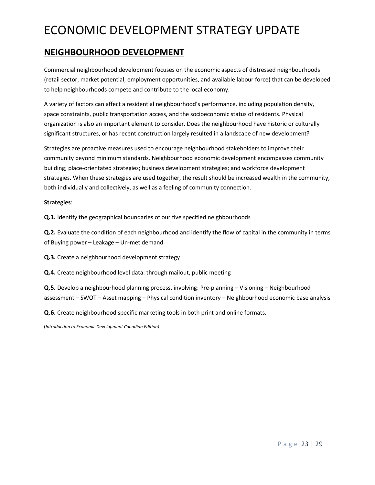### **NEIGHBOURHOOD DEVELOPMENT**

Commercial neighbourhood development focuses on the economic aspects of distressed neighbourhoods (retail sector, market potential, employment opportunities, and available labour force) that can be developed to help neighbourhoods compete and contribute to the local economy.

A variety of factors can affect a residential neighbourhood's performance, including population density, space constraints, public transportation access, and the socioeconomic status of residents. Physical organization is also an important element to consider. Does the neighbourhood have historic or culturally significant structures, or has recent construction largely resulted in a landscape of new development?

Strategies are proactive measures used to encourage neighbourhood stakeholders to improve their community beyond minimum standards. Neighbourhood economic development encompasses community building; place-orientated strategies; business development strategies; and workforce development strategies. When these strategies are used together, the result should be increased wealth in the community, both individually and collectively, as well as a feeling of community connection.

#### **Strategies**:

**Q.1.** Identify the geographical boundaries of our five specified neighbourhoods

**Q.2.** Evaluate the condition of each neighbourhood and identify the flow of capital in the community in terms of Buying power – Leakage – Un-met demand

**Q.3.** Create a neighbourhood development strategy

**Q.4.** Create neighbourhood level data: through mailout, public meeting

**Q.5.** Develop a neighbourhood planning process, involving: Pre-planning – Visioning – Neighbourhood assessment – SWOT – Asset mapping – Physical condition inventory – Neighbourhood economic base analysis

**Q.6.** Create neighbourhood specific marketing tools in both print and online formats.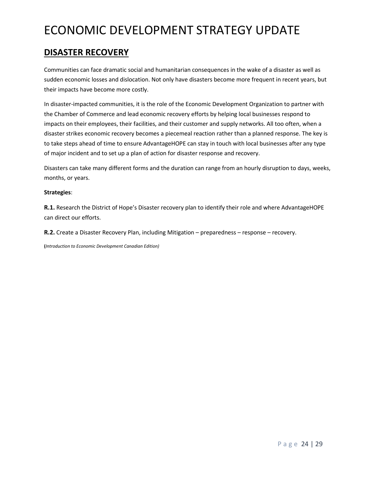## **DISASTER RECOVERY**

Communities can face dramatic social and humanitarian consequences in the wake of a disaster as well as sudden economic losses and dislocation. Not only have disasters become more frequent in recent years, but their impacts have become more costly.

In disaster-impacted communities, it is the role of the Economic Development Organization to partner with the Chamber of Commerce and lead economic recovery efforts by helping local businesses respond to impacts on their employees, their facilities, and their customer and supply networks. All too often, when a disaster strikes economic recovery becomes a piecemeal reaction rather than a planned response. The key is to take steps ahead of time to ensure AdvantageHOPE can stay in touch with local businesses after any type of major incident and to set up a plan of action for disaster response and recovery.

Disasters can take many different forms and the duration can range from an hourly disruption to days, weeks, months, or years.

#### **Strategies**:

**R.1.** Research the District of Hope's Disaster recovery plan to identify their role and where AdvantageHOPE can direct our efforts.

**R.2.** Create a Disaster Recovery Plan, including Mitigation – preparedness – response – recovery.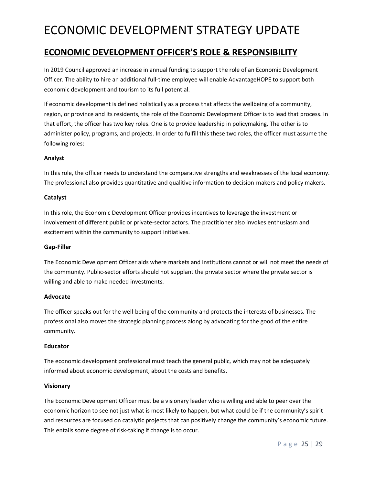### **ECONOMIC DEVELOPMENT OFFICER'S ROLE & RESPONSIBILITY**

In 2019 Council approved an increase in annual funding to support the role of an Economic Development Officer. The ability to hire an additional full-time employee will enable AdvantageHOPE to support both economic development and tourism to its full potential.

If economic development is defined holistically as a process that affects the wellbeing of a community, region, or province and its residents, the role of the Economic Development Officer is to lead that process. In that effort, the officer has two key roles. One is to provide leadership in policymaking. The other is to administer policy, programs, and projects. In order to fulfill this these two roles, the officer must assume the following roles:

#### **Analyst**

In this role, the officer needs to understand the comparative strengths and weaknesses of the local economy. The professional also provides quantitative and qualitive information to decision-makers and policy makers.

#### **Catalyst**

In this role, the Economic Development Officer provides incentives to leverage the investment or involvement of different public or private-sector actors. The practitioner also invokes enthusiasm and excitement within the community to support initiatives.

#### **Gap-Filler**

The Economic Development Officer aids where markets and institutions cannot or will not meet the needs of the community. Public-sector efforts should not supplant the private sector where the private sector is willing and able to make needed investments.

### **Advocate**

The officer speaks out for the well-being of the community and protects the interests of businesses. The professional also moves the strategic planning process along by advocating for the good of the entire community.

#### **Educator**

The economic development professional must teach the general public, which may not be adequately informed about economic development, about the costs and benefits.

### **Visionary**

The Economic Development Officer must be a visionary leader who is willing and able to peer over the economic horizon to see not just what is most likely to happen, but what could be if the community's spirit and resources are focused on catalytic projects that can positively change the community's economic future. This entails some degree of risk-taking if change is to occur.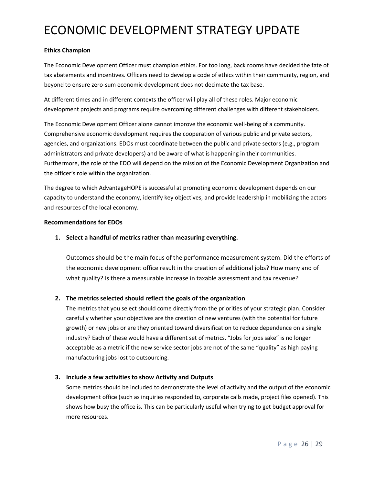#### **Ethics Champion**

The Economic Development Officer must champion ethics. For too long, back rooms have decided the fate of tax abatements and incentives. Officers need to develop a code of ethics within their community, region, and beyond to ensure zero-sum economic development does not decimate the tax base.

At different times and in different contexts the officer will play all of these roles. Major economic development projects and programs require overcoming different challenges with different stakeholders.

The Economic Development Officer alone cannot improve the economic well-being of a community. Comprehensive economic development requires the cooperation of various public and private sectors, agencies, and organizations. EDOs must coordinate between the public and private sectors (e.g., program administrators and private developers) and be aware of what is happening in their communities. Furthermore, the role of the EDO will depend on the mission of the Economic Development Organization and the officer's role within the organization.

The degree to which AdvantageHOPE is successful at promoting economic development depends on our capacity to understand the economy, identify key objectives, and provide leadership in mobilizing the actors and resources of the local economy.

#### **Recommendations for EDOs**

### **1. Select a handful of metrics rather than measuring everything.**

Outcomes should be the main focus of the performance measurement system. Did the efforts of the economic development office result in the creation of additional jobs? How many and of what quality? Is there a measurable increase in taxable assessment and tax revenue?

### **2. The metrics selected should reflect the goals of the organization**

The metrics that you select should come directly from the priorities of your strategic plan. Consider carefully whether your objectives are the creation of new ventures (with the potential for future growth) or new jobs or are they oriented toward diversification to reduce dependence on a single industry? Each of these would have a different set of metrics. "Jobs for jobs sake" is no longer acceptable as a metric if the new service sector jobs are not of the same "quality" as high paying manufacturing jobs lost to outsourcing.

### **3. Include a few activities to show Activity and Outputs**

Some metrics should be included to demonstrate the level of activity and the output of the economic development office (such as inquiries responded to, corporate calls made, project files opened). This shows how busy the office is. This can be particularly useful when trying to get budget approval for more resources.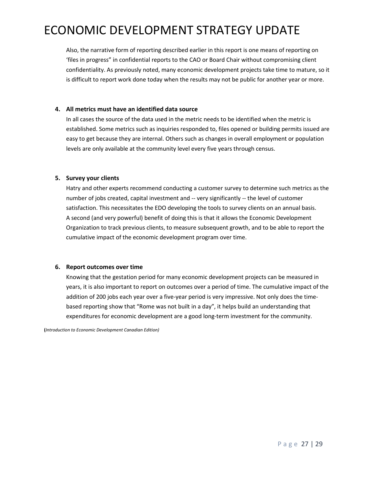Also, the narrative form of reporting described earlier in this report is one means of reporting on 'files in progress" in confidential reports to the CAO or Board Chair without compromising client confidentiality. As previously noted, many economic development projects take time to mature, so it is difficult to report work done today when the results may not be public for another year or more.

#### **4. All metrics must have an identified data source**

In all cases the source of the data used in the metric needs to be identified when the metric is established. Some metrics such as inquiries responded to, files opened or building permits issued are easy to get because they are internal. Others such as changes in overall employment or population levels are only available at the community level every five years through census.

#### **5. Survey your clients**

Hatry and other experts recommend conducting a customer survey to determine such metrics as the number of jobs created, capital investment and -- very significantly -- the level of customer satisfaction. This necessitates the EDO developing the tools to survey clients on an annual basis. A second (and very powerful) benefit of doing this is that it allows the Economic Development Organization to track previous clients, to measure subsequent growth, and to be able to report the cumulative impact of the economic development program over time.

#### **6. Report outcomes over time**

Knowing that the gestation period for many economic development projects can be measured in years, it is also important to report on outcomes over a period of time. The cumulative impact of the addition of 200 jobs each year over a five-year period is very impressive. Not only does the timebased reporting show that "Rome was not built in a day", it helps build an understanding that expenditures for economic development are a good long-term investment for the community.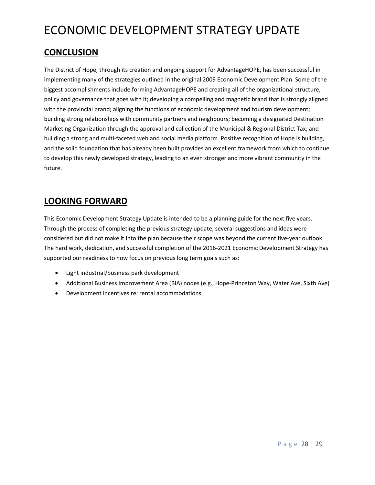## **CONCLUSION**

The District of Hope, through its creation and ongoing support for AdvantageHOPE, has been successful in implementing many of the strategies outlined in the original 2009 Economic Development Plan. Some of the biggest accomplishments include forming AdvantageHOPE and creating all of the organizational structure, policy and governance that goes with it; developing a compelling and magnetic brand that is strongly aligned with the provincial brand; aligning the functions of economic development and tourism development; building strong relationships with community partners and neighbours; becoming a designated Destination Marketing Organization through the approval and collection of the Municipal & Regional District Tax; and building a strong and multi-faceted web and social media platform. Positive recognition of Hope is building, and the solid foundation that has already been built provides an excellent framework from which to continue to develop this newly developed strategy, leading to an even stronger and more vibrant community in the future.

## **LOOKING FORWARD**

This Economic Development Strategy Update is intended to be a planning guide for the next five years. Through the process of completing the previous strategy update, several suggestions and ideas were considered but did not make it into the plan because their scope was beyond the current five-year outlook. The hard work, dedication, and successful completion of the 2016-2021 Economic Development Strategy has supported our readiness to now focus on previous long term goals such as:

- Light industrial/business park development
- Additional Business Improvement Area (BIA) nodes (e.g., Hope-Princeton Way, Water Ave, Sixth Ave)
- Development incentives re: rental accommodations.